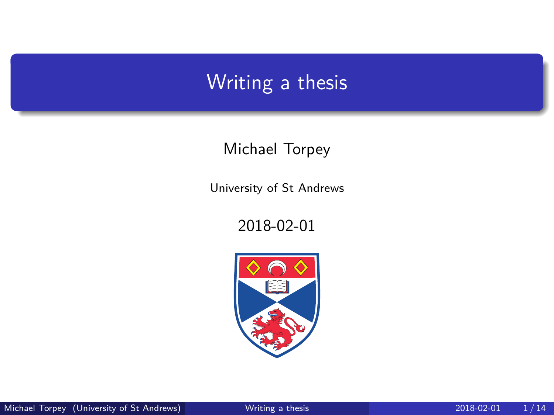### <span id="page-0-0"></span>Writing a thesis

#### Michael Torpey

University of St Andrews

2018-02-01

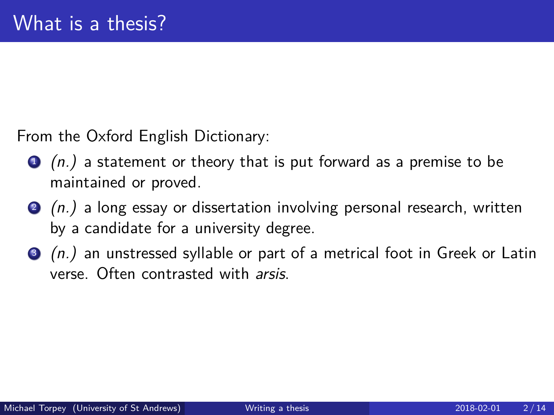From the Oxford English Dictionary:

- $\bullet$  (n.) a statement or theory that is put forward as a premise to be maintained or proved.
- $\bullet$  (n.) a long essay or dissertation involving personal research, written by a candidate for a university degree.
- $\bullet$  (n.) an unstressed syllable or part of a metrical foot in Greek or Latin verse. Often contrasted with arsis.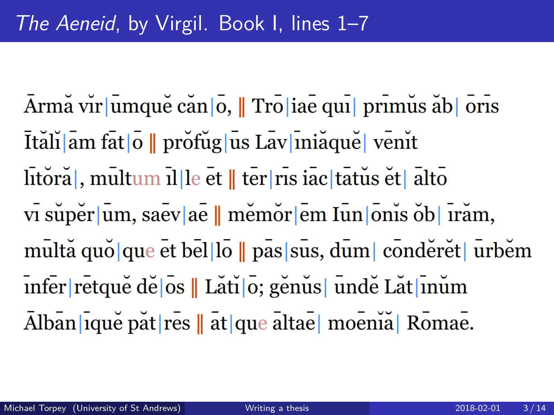Armă vir umque căn o, || Tro iae qui primus ăb oris Ităli am fat o || profug us Lav iniăque venit litora, multum il le et | ter ris iac tatus et alto vī super um, saev ae || memor em Iun onis ob Firam, multă quo que et bello || pas sus, dum conderet urbem infer retque de los || Lăti lo; genus | unde Lăt linum Alban|ique pat|res || at|que altae| moenia| Romae.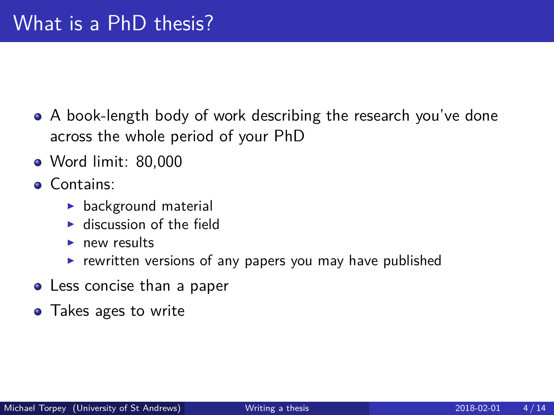- A book-length body of work describing the research you've done across the whole period of your PhD
- Word limit: 80,000
- **Contains:** 
	- $\blacktriangleright$  background material
	- $\blacktriangleright$  discussion of the field
	- $\blacktriangleright$  new results
	- $\triangleright$  rewritten versions of any papers you may have published
- Less concise than a paper
- Takes ages to write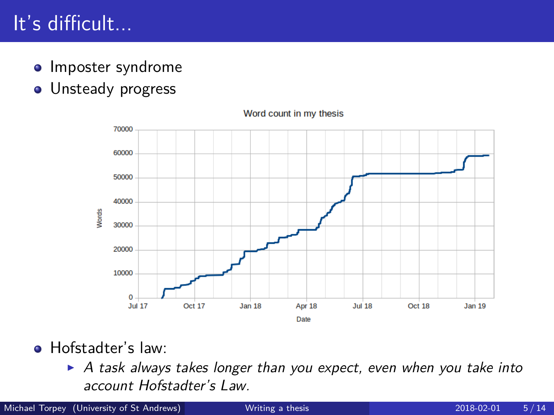## It's difficult...

- Imposter syndrome
- **·** Unsteady progress



Word count in my thesis

- **•** Hofstadter's law:
	- $\triangleright$  A task always takes longer than you expect, even when you take into account Hofstadter's Law.

Michael Torpey (University of St Andrews) [Writing a thesis](#page-0-0) 2018-02-01 5/14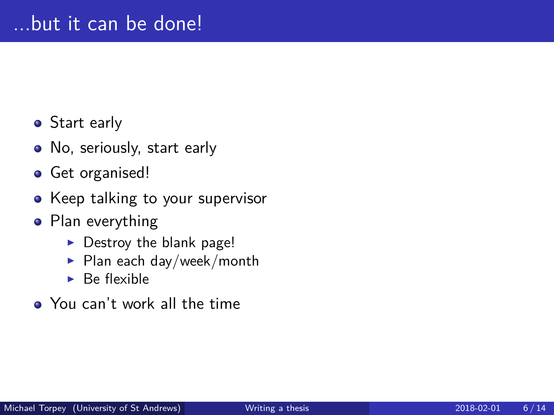- Start early
- No, seriously, start early
- Get organised!
- Keep talking to your supervisor
- Plan everything
	- $\triangleright$  Destroy the blank page!
	- $\blacktriangleright$  Plan each day/week/month
	- $\blacktriangleright$  Be flexible
- You can't work all the time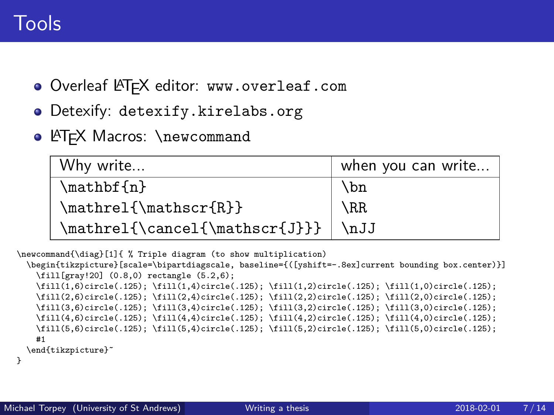- Overleaf LATEX editor: <www.overleaf.com>
- Detexify: <detexify.kirelabs.org>
- **LATEX Macros: \newcommand**

| Why write                                        | when you can write |
|--------------------------------------------------|--------------------|
| \mathbf{n}                                       | \bn                |
| \mathrel{\mathscr{R}}                            | $\setminus$ RR     |
| $\mathcal{\Lambda}\mathcal{I}\mathcal{J}}\$ \nJJ |                    |

```
\newcommand{\diag}[1]{ % Triple diagram (to show multiplication)
  \begin{tikzpicture}[scale=\bipartdiagscale, baseline={([yshift=-.8ex]current bounding box.center)}]
    \fill[gray!20] (0.8,0) rectangle (5.2,6);
    \fill(1,6)circle(.125); \fill(1,4)circle(.125); \fill(1,2)circle(.125); \fill(1,0)circle(.125);
    \fill(2,6)circle(.125); \fill(2,4)circle(.125); \fill(2,2)circle(.125); \fill(2,0)circle(.125);
    \fill(3,6)circle(.125); \fill(3,4)circle(.125); \fill(3,2)circle(.125); \fill(3,0)circle(.125);
    \fill(4,6)circle(.125); \fill(4,4)circle(.125); \fill(4,2)circle(.125); \fill(4,0)circle(.125);
    \fill(5,6)circle(.125); \fill(5,4)circle(.125); \fill(5,2)circle(.125); \fill(5,0)circle(.125);
    #1
  \end{tikzpicture}˜
}
```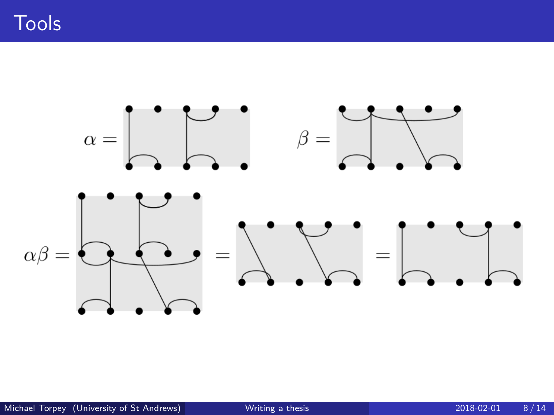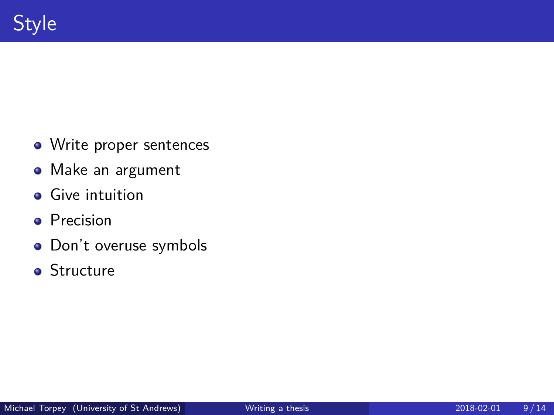- Write proper sentences
- Make an argument
- **•** Give intuition
- **•** Precision
- Don't overuse symbols
- **•** Structure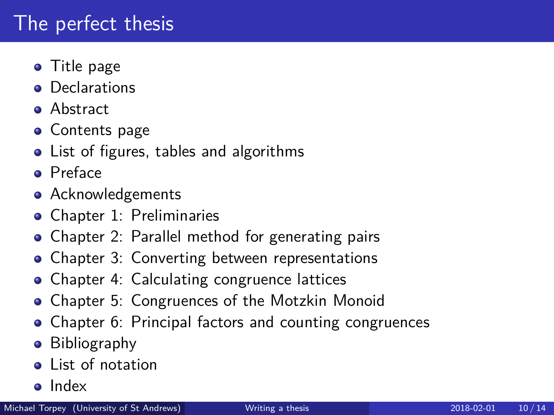### The perfect thesis

- Title page
- **•** Declarations
- **•** Abstract
- **Contents page**
- List of figures, tables and algorithms
- **•** Preface
- **•** Acknowledgements
- Chapter 1: Preliminaries
- Chapter 2: Parallel method for generating pairs
- Chapter 3: Converting between representations
- Chapter 4: Calculating congruence lattices
- Chapter 5: Congruences of the Motzkin Monoid
- Chapter 6: Principal factors and counting congruences
- Bibliography
- List of notation
- o Index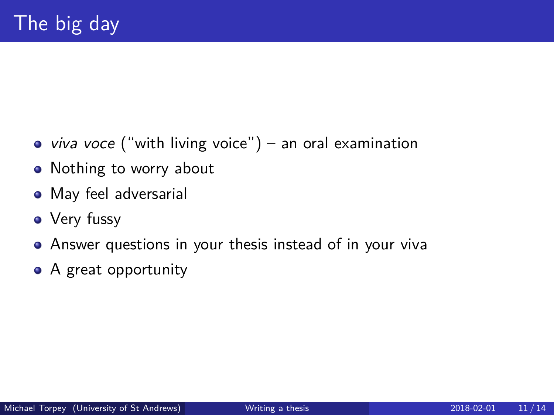- viva voce ("with living voice") an oral examination
- Nothing to worry about
- May feel adversarial
- Very fussy
- Answer questions in your thesis instead of in your viva
- A great opportunity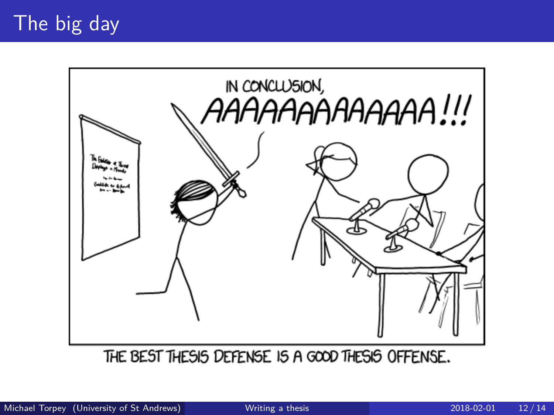#### The big day



THE BEST THESIS DEFENSE IS A GOOD THESIS OFFENSE.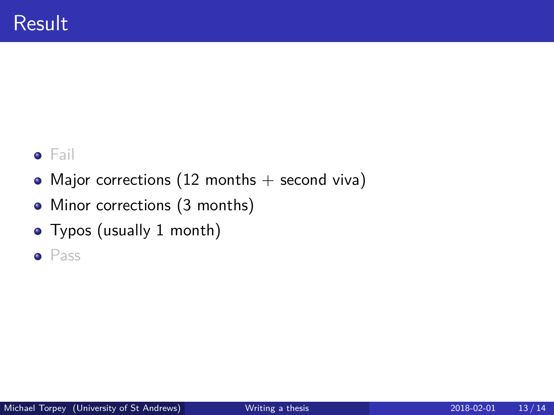#### **•** Fail

- Major corrections (12 months  $+$  second viva)
- Minor corrections (3 months)
- Typos (usually 1 month)
- **•** Pass